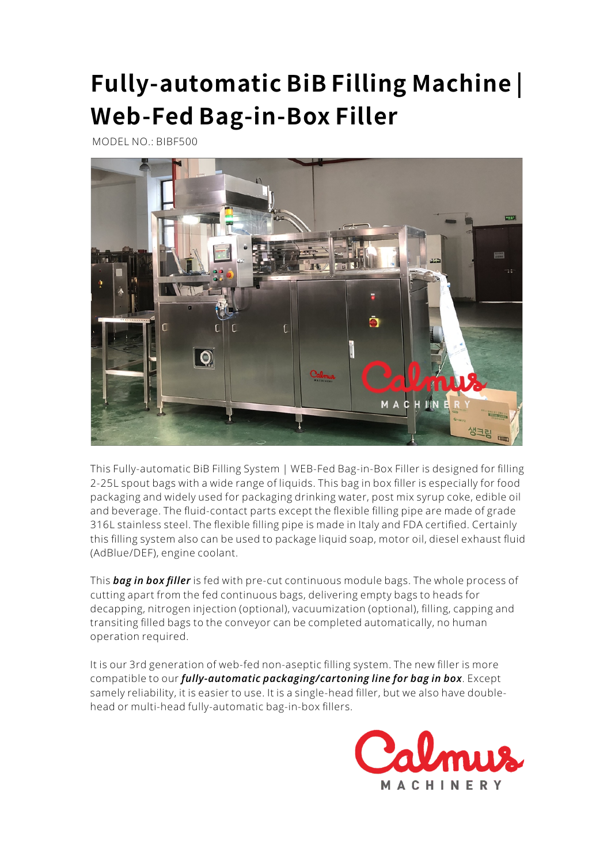## **Fully-automaticBiBFillingMachine|** Web-Fed Bag-in-Box Filler

MODEL NO.: BIBF500



This Fully-automatic BiB Filling System | WEB-Fed Bag-in-Box Filler is designed for filling 2-25L spout bags with a wide range of liquids. This bag in box filler is especially for food packaging and widely used for packaging drinking water, post mix syrup coke, edible oil and beverage. The fluid-contact parts except the flexible filling pipe are made of grade 316L stainless steel. The flexible filling pipe is made in Italy and FDA certified. Certainly this filling system also can be used to package liquid soap, motor oil, diesel exhaust fluid (AdBlue/DEF), engine coolant.

This *[bag in box filler](https://www.calmusmachinery.com/Products/Bag-in-Box-Filling-Machines/WEB-Fed-Bag-in-Box-Filler-BIBF500.htm)* is fed with pre-cut continuous module bags. The whole process of cutting apart from the fed continuous bags, delivering empty bags to heads for decapping, nitrogen injection (optional), vacuumization (optional), filling, capping and transiting filled bags to the conveyor can be completed automatically, no human operation required.

It is our 3rd generation of web-fed non-aseptic filling system. The new filler is more compatible to our *[fully-automatic packaging/cartoning line for bag in box](https://www.calmusmachinery.com/Products/Bag-in-Box-Filling-Machines/Bag-in-Box-Packaging-Line-BIBPL500.htm)*. Except samely reliability, it is easier to use. It is a single-head filler, but we also have doublehead or multi-head fully-automatic bag-in-box fillers.

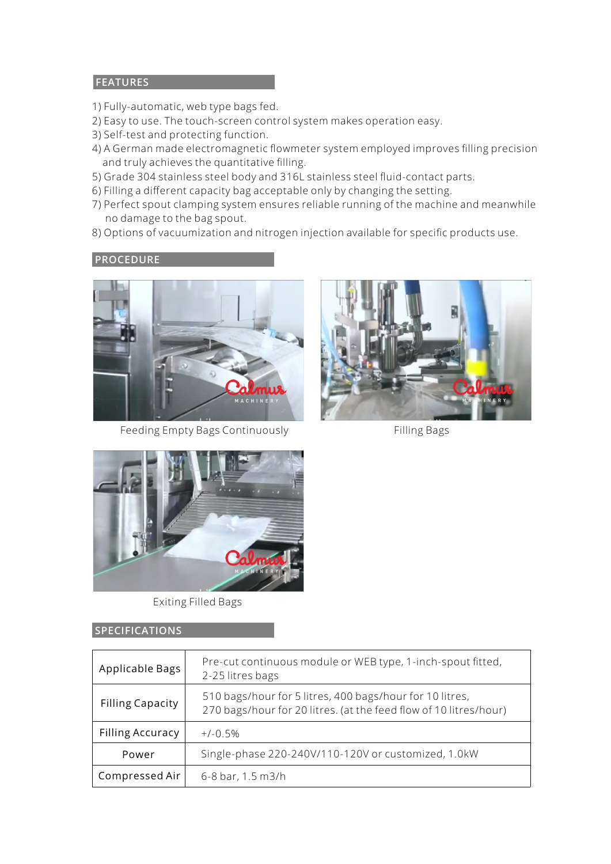## **FEATURES**

- 1) Fully-automatic, web type bags fed.
- 2) Easy to use. The touch-screen control system makes operation easy.
- 3) Self-test and protecting function.
- 4) A German made electromagnetic flowmeter system employed improves filling precision and truly achieves the quantitative filling.
- 5) Grade 304 stainless steel body and 316L stainless steel fluid-contact parts.
- 6) Filling a different capacity bag acceptable only by changing the setting.
- 7) Perfect spout clamping system ensures reliable running of the machine and meanwhile no damage to the bag spout.
- 8) Options of vacuumization and nitrogen injection available for specific products use.

## **PROCEDURE**



Feeding Empty Bags Continuously Filling Bags





Exiting Filled Bags

## **SPECIFICATIONS**

| Applicable Bags         | Pre-cut continuous module or WEB type, 1-inch-spout fitted,<br>2-25 litres bags                                               |
|-------------------------|-------------------------------------------------------------------------------------------------------------------------------|
| <b>Filling Capacity</b> | 510 bags/hour for 5 litres, 400 bags/hour for 10 litres,<br>270 bags/hour for 20 litres. (at the feed flow of 10 litres/hour) |
| <b>Filling Accuracy</b> | $+/-0.5%$                                                                                                                     |
| Power                   | Single-phase 220-240V/110-120V or customized, 1.0kW                                                                           |
| Compressed Air          | 6-8 bar, 1.5 m3/h                                                                                                             |